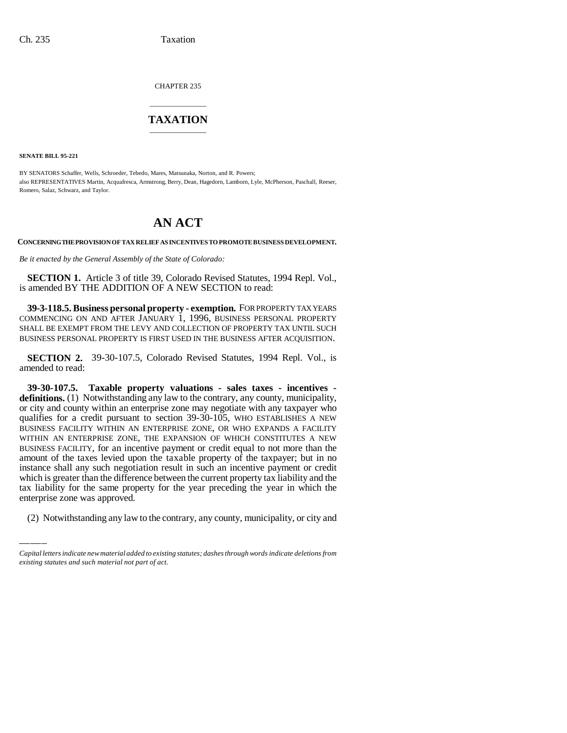CHAPTER 235

## \_\_\_\_\_\_\_\_\_\_\_\_\_\_\_ **TAXATION** \_\_\_\_\_\_\_\_\_\_\_\_\_\_\_

**SENATE BILL 95-221**

BY SENATORS Schaffer, Wells, Schroeder, Tebedo, Mares, Matsunaka, Norton, and R. Powers; also REPRESENTATIVES Martin, Acquafresca, Armstrong, Berry, Dean, Hagedorn, Lamborn, Lyle, McPherson, Paschall, Reeser, Romero, Salaz, Schwarz, and Taylor.

## **AN ACT**

**CONCERNING THE PROVISION OF TAX RELIEF AS INCENTIVES TO PROMOTE BUSINESS DEVELOPMENT.**

*Be it enacted by the General Assembly of the State of Colorado:*

**SECTION 1.** Article 3 of title 39, Colorado Revised Statutes, 1994 Repl. Vol., is amended BY THE ADDITION OF A NEW SECTION to read:

**39-3-118.5. Business personal property - exemption.** FOR PROPERTY TAX YEARS COMMENCING ON AND AFTER JANUARY 1, 1996, BUSINESS PERSONAL PROPERTY SHALL BE EXEMPT FROM THE LEVY AND COLLECTION OF PROPERTY TAX UNTIL SUCH BUSINESS PERSONAL PROPERTY IS FIRST USED IN THE BUSINESS AFTER ACQUISITION.

**SECTION 2.** 39-30-107.5, Colorado Revised Statutes, 1994 Repl. Vol., is amended to read:

which is greater than the difference between the current property tax liability and the **39-30-107.5. Taxable property valuations - sales taxes - incentives definitions.** (1) Notwithstanding any law to the contrary, any county, municipality, or city and county within an enterprise zone may negotiate with any taxpayer who qualifies for a credit pursuant to section 39-30-105, WHO ESTABLISHES A NEW BUSINESS FACILITY WITHIN AN ENTERPRISE ZONE, OR WHO EXPANDS A FACILITY WITHIN AN ENTERPRISE ZONE, THE EXPANSION OF WHICH CONSTITUTES A NEW BUSINESS FACILITY, for an incentive payment or credit equal to not more than the amount of the taxes levied upon the taxable property of the taxpayer; but in no instance shall any such negotiation result in such an incentive payment or credit tax liability for the same property for the year preceding the year in which the enterprise zone was approved.

(2) Notwithstanding any law to the contrary, any county, municipality, or city and

*Capital letters indicate new material added to existing statutes; dashes through words indicate deletions from existing statutes and such material not part of act.*